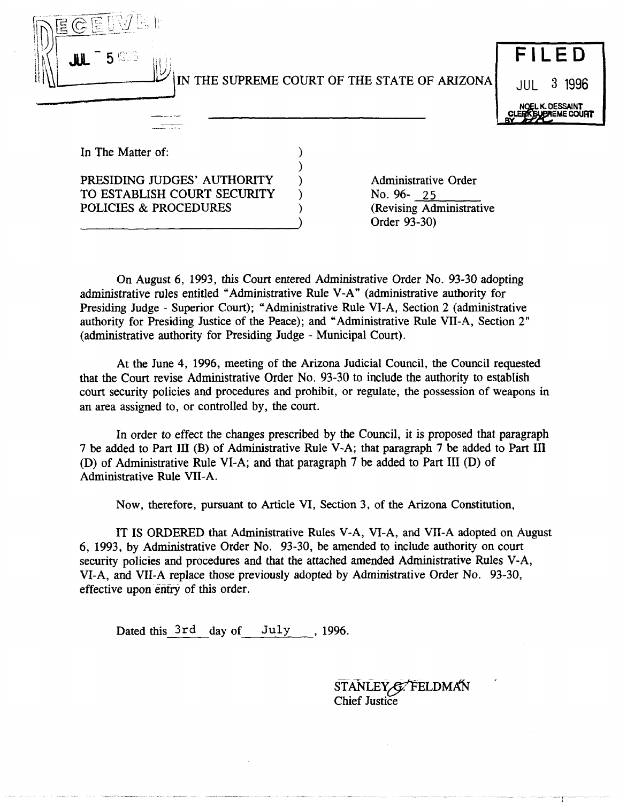

### IN THE SUPREME COURT OF THE STATE OF ARIZONA



In The Matter of:

#### PRESIDING JUDGES' AUTHORITY TO ESTABLISH COURT SECURITY POLICIES & PROCEDURES

---------------------------)

Administrative Order No. 96- 25 (Revising Administrative Order 93-30)

On August 6, 1993, this Court entered Administrative Order No. 93-30 adopting administrative rules entitled "Administrative Rule V -A" (administrative authority for Presiding Judge - Superior Court); "Administrative Rule VI-A, Section 2 (administrative authority for Presiding Justice of the Peace); and "Administrative Rule VII-A, Section 2" (administrative authority for Presiding Judge - Municipal Court).

) ) ) ) )

At the June 4, 1996, meeting of the Arizona Judicial Council, the Council requested that the Court revise Administrative Order No. 93-30 to include the authority to establish court security policies and procedures and prohibit, or regulate, the possession of weapons in an area assigned to, or controlled by, the court.

In order to effect the changes prescribed by the Council, it is proposed that paragraph 7 be added to Part III (B) of Administrative Rule V-A; that paragraph 7 be added to Part III (D) of Administrative Rule VI-A; and that paragraph 7 be added to Part III (D) of Administrative Rule VII-A.

Now, therefore, pursuant to Article VI, Section 3, of the Arizona Constitution,

IT IS ORDERED that Administrative Rules V-A, VI-A, and VII-A adopted on August 6, 1993, by Administrative Order No. 93-30, be amended to include authority on court security policies and procedures and that the attached amended Administrative Rules V-A, VI-A, and VII-A replace those previously adopted by Administrative Order No. 93-30, effective upon entry of this order.

Dated this 3rd day of July, 1996.

STANLEY G FELDMAN Chief Justice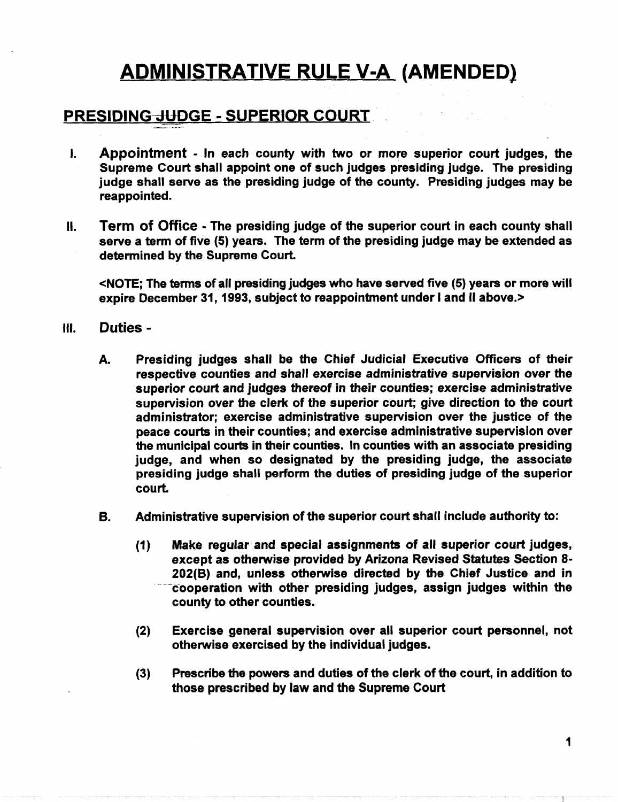## ADMINISTRATIVE RULE V-A (AMENDED)

#### PRESIDING-dUDGE - SUPERIOR COURT.

- I. Appointment In each county with two or more superior court judges, the Supreme Court shall appoint one of such judges presiding judge. The presiding judge shall serve as the presiding judge of the county. Presiding judges may be reappointed.
- II. Term of Office The presiding judge of the superior court in each county shall serve a term of five (5) years. The term of the presiding judge may be extended as determined by the Supreme Court.

<NOTE; The tenns of all presiding judges who have served five (5) years or more will expire December 31, 1993, subject to reappointment under I and II above.>

- III. Duties
	- A. Presiding judges shall be the Chief Judicial Executive Officers of their respective counties and shall exercise administrative supervision over the superior court and judges thereof in their counties; exercise administrative supervision over the clerk of the superior court; give direction to the court administrator; exercise administrative supervision over the justice of the peace courts in their counties; and exercise administrative supervision over the municipal courts in their counties. In counties with an associate presiding judge, and when so designated by the presiding judge, the associate presiding judge shall perform the duties of presiding judge of the superior court.
	- B. Administrative supervision of the superior court shall include authority to:
		- (1) Make regular and special assignments of all superior court judges, except as otherwise provided by Arizona Revised Statutes Section 8- 202(8) and, unless otherwise directed by the Chief Justice and in cooperation with other presiding judges, assign judges within the county to other counties.
		- (2) Exercise general supervision over all superior court personnel, not otherwise exercised by the individual judges.
		- (3) Prescribe the powers and duties of the clerk of the court, in addition to those prescribed by law and the Supreme Court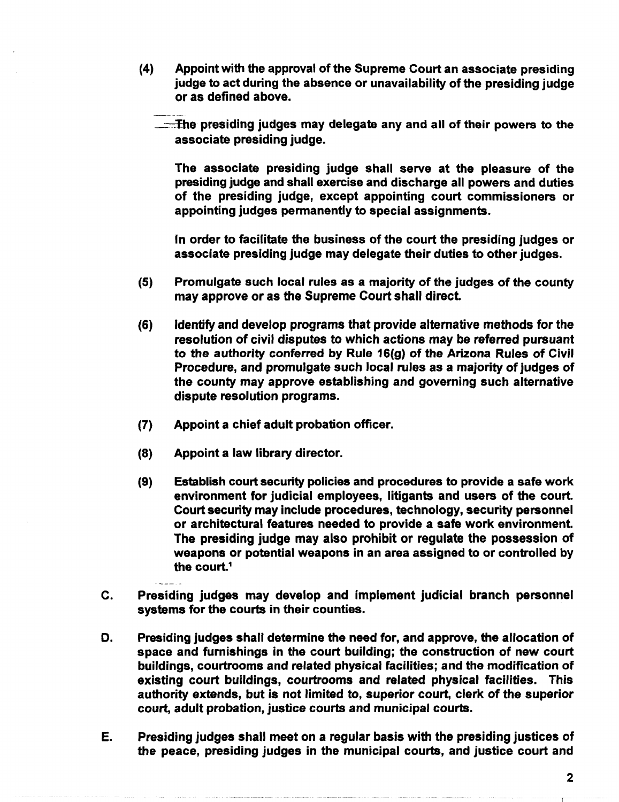(4) Appoint with the approval of the Supreme Court an associate presiding judge to act during the absence or unavailability of the presiding judge or as defined above.

 $\sqrt{1 - x}$  the presiding judges may delegate any and all of their powers to the associate presiding judge.

The associate presiding judge shall serve at the pleasure of the presiding judge and shall exercise and discharge all powers and duties of the presiding judge, except appointing court commissioners or appointing judges permanently to special assignments.

In order to facilitate the business of the court the presiding judges or associate presiding judge may delegate their duties to other judges.

- (5) Promulgate such local rules as a majority of the judges of the county may approve or as the Supreme Court shall direct
- (6) Identify and develop programs that provide alternative methods for the resolution of civil disputes to which actions may be referred pursuant to the authority conferred by Rule 16(g) of the Arizona Rules of Civil Procedure, and promulgate such local rules as a majority of judges of the county may approve establishing and governing such alternative dispute resolution programs.
- (7) Appoint a chief adult probation officer.
- (8) Appoint a law library director.
- (9) Establish court security policies and procedures to provide a safe work environment for judicial employees, litigants and users of the court Court security may include procedures, technology, security personnel or architectural features needed to provide a safe work environment The presiding judge may also prohibit or regulate the possession of weapons or potential weapons in an area assigned to or controlled by the court. $1$
- C. Presiding judges may develop and implement judicial branch personnel systems for the courts in their counties.
- D. Presiding judges shall determine the need for, and approve, the allocation of space and furnishings in the court building; the construction of new court buildings, courtrooms and related physical facilities; and the modification of existing court buildings, courtrooms and related physical facilities. This authority extends, but is not limited to, superior court, clerk of the superior court, adult probation, justice courts and municipal courts.
- E. Presiding judges shall meet on a regular basis with the presiding justices of the peace, presiding judges in the municipal courts, and justice court and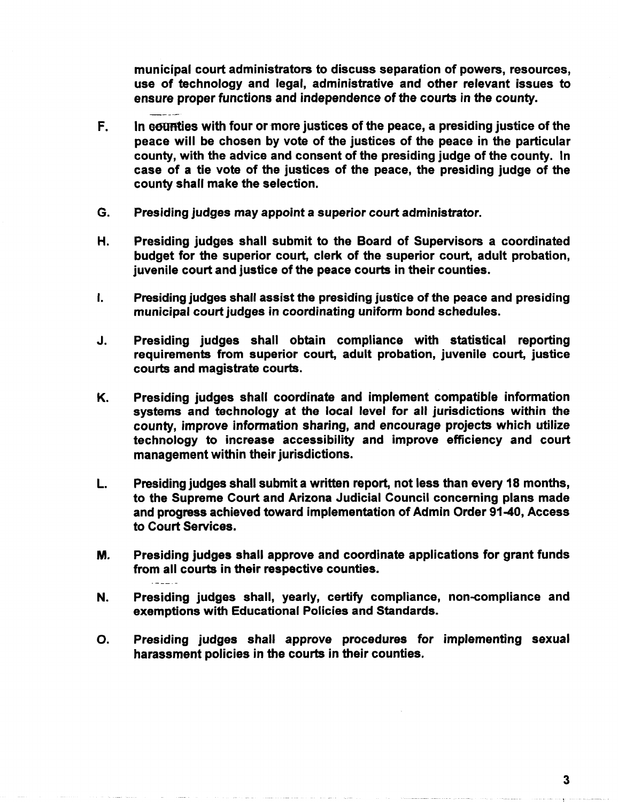municipal court administrators to discuss separation of powers, resources, use of technology and legal, administrative and other relevant issues to ensure proper functions and independence of the courts in the county.

- F. In counties with four or more justices of the peace, a presiding justice of the peace will be chosen by vote of the justices of the peace in the particular county, with the advice and consent of the presiding judge of the county. In case of a tie vote of the justices of the peace, the presiding judge of the county shall make the selection.
- G. Presiding judges may appoint a superior court administrator.
- H. Presiding judges shall submit to the Board of Supervisors a coordinated budget for the superior court, clerk of the superior court, adult probation, juvenile court and justice of the peace courts in their counties.
- I. Presiding judges shall assist the presiding justice of the peace and presiding municipal court judges in coordinating uniform bond schedules.
- J. Presiding judges shall obtain compliance with statistical reporting requirements from superior court, adult probation, juvenile court, justice courts and magistrate courts.
- K. Presiding judges shall coordinate and implement compatible information systems and technology at the local level for all jurisdictions within the county, improve information sharing, and encourage projects which utilize technology to increase accessibility and improve efficiency and court management within their jurisdictions.
- L. Presiding judges shall submit a written report, not less than every 18 months, to the Supreme Court and Arizona Judicial Council concerning plans made and progress achieved toward implementation of Admin Order 91-40, Access to Court Services.
- M. Presiding judges shall approve and coordinate applications for grant funds from all courts in their respective counties.

**Contract** 

- N. Presiding judges shall, yearly, certify compliance, non-compliance and exemptions with Educational Policies and Standards.
- O. Presiding judges shall approve procedures for implementing sexual harassment policies in the courts in their counties.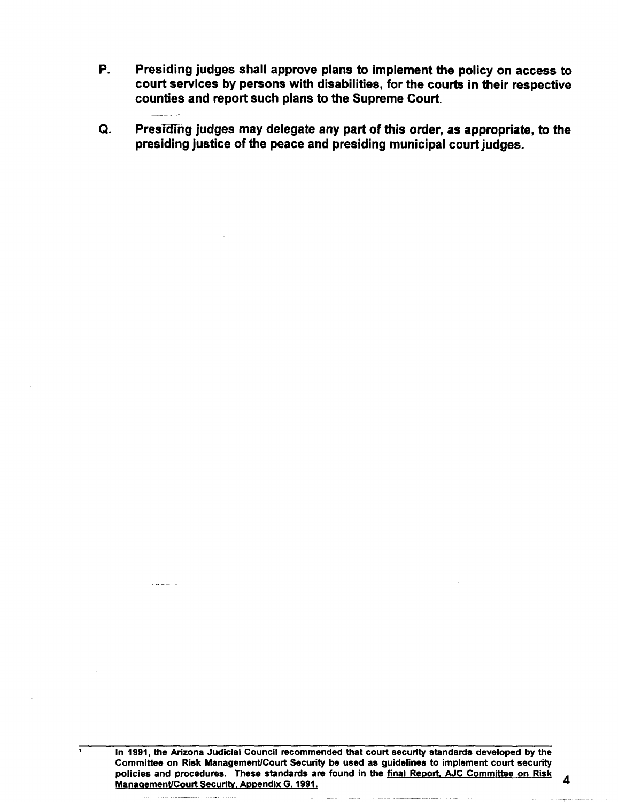- P. Presiding judges shall approve plans to implement the policy on access to court services by persons with disabilities, for the courts in their respective counties and report such plans to the Supreme Court.
- Q. Presiding judges may delegate any part of this order, as appropriate, to the presiding justice of the peace and presiding municipal court judges.

In 1991, the Arizona Judicial Council recommended that court security standards developed by the Committee on Risk Management/Court Security be used as guidelines to implement court security policies and procedures. These standards are found in the final Report, AJC Committee on Risk 4 Management/Court Security, Appendix G. 1991.

 $1 + 1 = 1 + 1$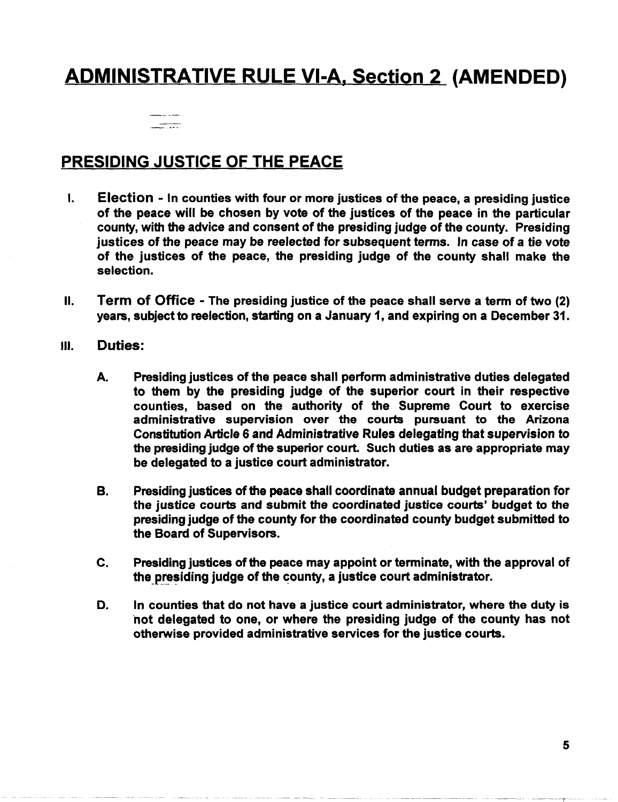# ADMINISTRATIVE RULE VI-A, Section 2 (AMENDED)



#### PRESIDING JUSTICE OF THE PEACE

- I. Election In counties with four or more justices of the peace, a presiding justice of the peace will be chosen by vote of the justices of the peace in the particular county, with the advice and consent of the presiding judge of the county. Presiding justices of the peace may be reelected for subsequent terms. In case of a tie vote of the justices of the peace, the presiding judge of the county shall make the selection.
- II. Term of Office The presiding justice of the peace shall serve a term of two (2) years, subject to reelection, starting on a January 1, and expiring on a December 31.
- III. Duties:
	- A. Presiding justices of the peace shall perform administrative duties delegated to them by the presiding judge of the superior court in their respective counties, based on the authority of the Supreme Court to exercise administrative supervision over the courts pursuant to the Arizona Constitution Article 6 and Administrative Rules delegating that supervision to the presiding judge of the superior court. Such duties as are appropriate may be delegated to a justice court administrator.
	- B. Presiding justices of the peace shall coordinate annual budget preparation for the justice courts and submit the coordinated justice courts' budget to the presiding judge of the county for the coordinated county budget submitted to the Board of Supervisors.
	- c. Presiding justices of the peace may appoint or terminate, with the approval of the presiding judge of the county, a justice court administrator.
	- D. In counties that do not have a justice court administrator, where the duty is hot delegated to one, or where the presiding judge of the county has not otherwise provided administrative services for the justice courts.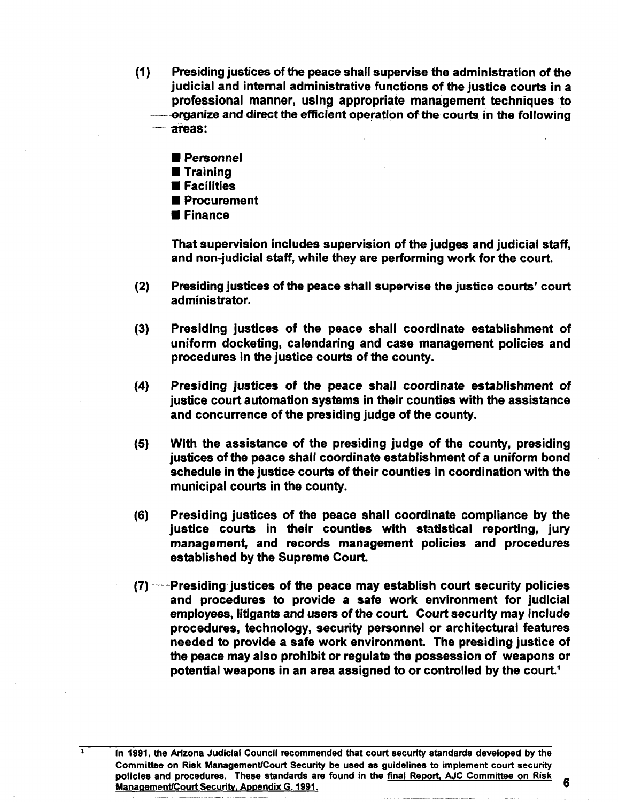- (1) Presiding justices of the peace shall supervise the administration of the judicial and internal administrative functions of the justice courts in a professional manner, using appropriate management techniques to -organize and direct the efficient operation of the courts in the following  $\overline{-}$ areas:
	- **Personnel**
	- **Training**
	- **E** Facilities
	- **Procurement**
	- **E** Finance

 $\overline{1}$ 

That supervision includes supervision of the judges and judicial staff, and non-judicial staff, while they are performing work for the court.

- (2) Presiding justices of the peace shall supervise the justice courts' court administrator.
- (3) Presiding justices of the peace shall coordinate establishment of uniform docketing, calendaring and case management policies and procedures in the justice courts of the county.
- (4) Presiding justices of the peace shall coordinate establishment of justice court automation systems in their counties with the assistance and concurrence of the presiding judge of the county.
- (5) With the assistance of the presiding judge of the county, presiding justices of the peace shall coordinate establishment of a uniform bond schedule in the justice courts of their counties in coordination with the municipal courts in the county.
- (6) Presiding justices of the peace shall coordinate compliance by the justice courts in their counties with statistical reporting, jury management, and records management policies and procedures established by the Supreme Court.
- $(7)$   $--$ -Presiding justices of the peace may establish court security policies and procedures to provide a safe work environment for judicial employees, litigants and users of the court. Court security may include procedures, technology, security personnel or architectural features needed to provide a safe work environment. The presiding justice of the peace may also prohibit or regulate the possession of weapons or potential weapons in an area assigned to or controlled by the court.<sup>1</sup>

In 1991, the Arizona Judicial Council recommended that court security standards developed by the Committee on Risk Management/Court Security be used as guidelines to implement court security policies and procedures. These standards are found in the <u>final Report, AJC Committee on Risk</u> 6 Management/Court Security. Appendix G. 1991.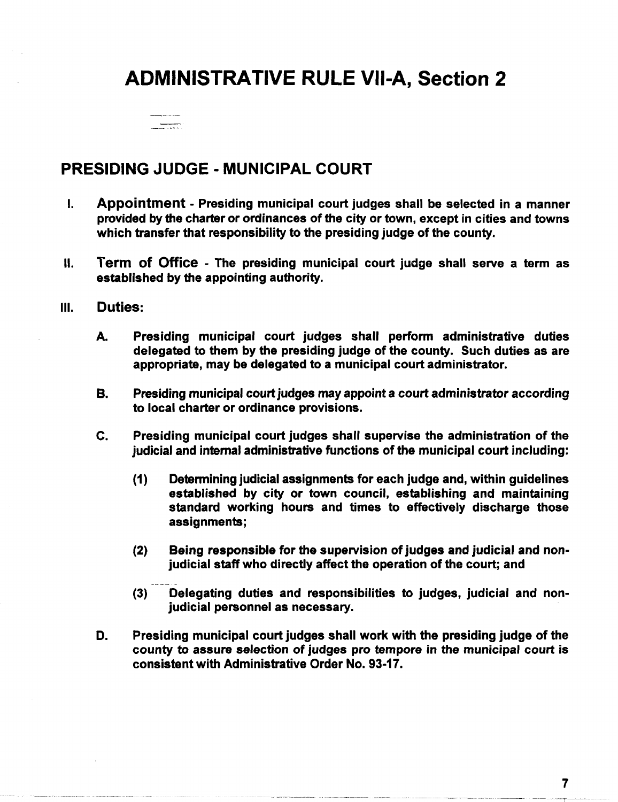## ADMINISTRATIVE RULE VII-A, Section 2

 $\frac{1}{\sqrt{1-\frac{1}{2}}\sqrt{1-\frac{1}{2}}\sqrt{1-\frac{1}{2}}\sqrt{1-\frac{1}{2}}\sqrt{1-\frac{1}{2}}\sqrt{1-\frac{1}{2}}\sqrt{1-\frac{1}{2}}\sqrt{1-\frac{1}{2}}\sqrt{1-\frac{1}{2}}\sqrt{1-\frac{1}{2}}\sqrt{1-\frac{1}{2}}\sqrt{1-\frac{1}{2}}\sqrt{1-\frac{1}{2}}\sqrt{1-\frac{1}{2}}\sqrt{1-\frac{1}{2}}\sqrt{1-\frac{1}{2}}\sqrt{1-\frac{1}{2}}\sqrt{1-\frac{1}{2}}\sqrt{1-\frac{1}{2}}\sqrt{1-\frac$ 

### PRESIDING JUDGE - MUNICIPAL COURT

- I. Appointment Presiding municipal court judges shall be selected in a manner provided by the charter or ordinances of the city or town, except in cities and towns which transfer that responsibility to the presiding judge of the county.
- II. Term of Office The presiding municipal court judge shall serve a term as established by the appointing authority.
- III. Duties:
	- A. Presiding municipal court judges shall perform administrative duties delegated to them by the presiding judge of the county. Such duties as are appropriate, may be delegated to a municipal court administrator.
	- B. Presiding municipal court judges may appoint a court administrator according to local charter or ordinance provisions.
	- c. Presiding municipal court judges shall supervise the administration of the judicial and internal administrative functions of the municipal court including:
		- (1) Determining judicial assignments for each judge and, within guidelines established by city or town council, establishing and maintaining standard working hours and times to effectively discharge those assignments;
		- (2) Being responsible for the supervision of judges and judicial and nonjudicial staff who directly affect the operation of the court; and
		- (3) Delegating duties and responsibilities to judges, judicial and nonjudicial personnel as necessary.
	- D. Presiding municipal court judges shall work with the presiding judge of the county to assure selection of judges pro tempore in the municipal court is consistent with Administrative Order No. 93-17.

7